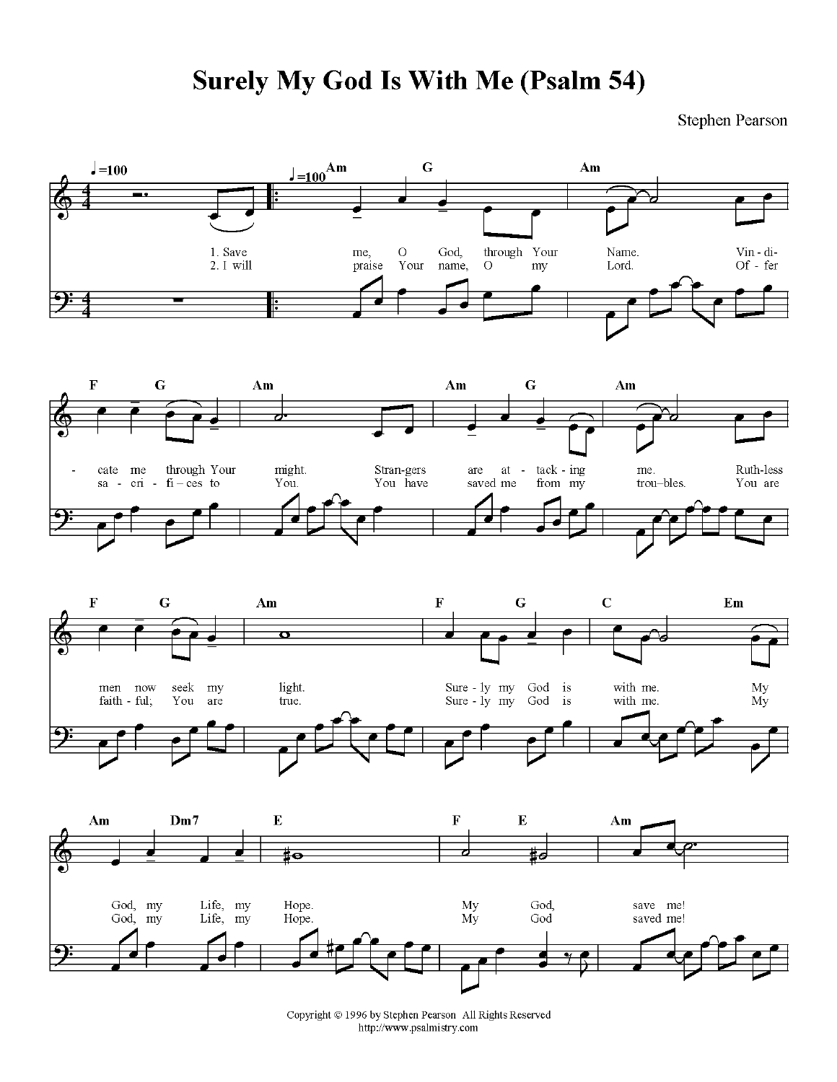## **Surely My God Is With Me (Psalm 54)**

Stephen Pearson



Copyright © 1996 by Stephen Pearson All Rights Reserved http://www.psalmistry.com